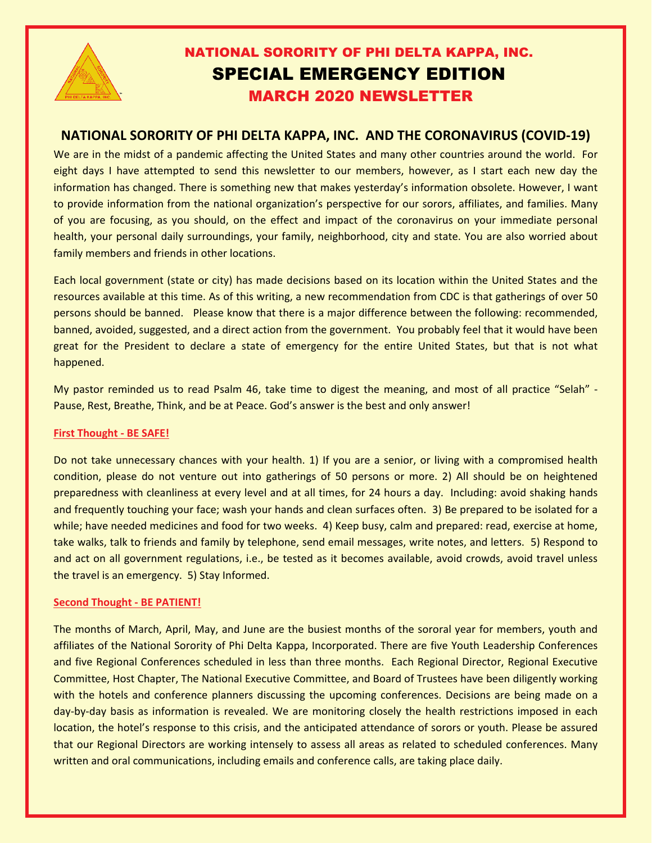

# NATIONAL SORORITY OF PHI DELTA KAPPA, INC. SPECIAL EMERGENCY EDITION MARCH 2020 NEWSLETTER

## **NATIONAL SORORITY OF PHI DELTA KAPPA, INC. AND THE CORONAVIRUS (COVID-19)**

We are in the midst of a pandemic affecting the United States and many other countries around the world. For eight days I have attempted to send this newsletter to our members, however, as I start each new day the information has changed. There is something new that makes yesterday's information obsolete. However, I want to provide information from the national organization's perspective for our sorors, affiliates, and families. Many of you are focusing, as you should, on the effect and impact of the coronavirus on your immediate personal health, your personal daily surroundings, your family, neighborhood, city and state. You are also worried about family members and friends in other locations.

Each local government (state or city) has made decisions based on its location within the United States and the resources available at this time. As of this writing, a new recommendation from CDC is that gatherings of over 50 persons should be banned. Please know that there is a major difference between the following: recommended, banned, avoided, suggested, and a direct action from the government. You probably feel that it would have been great for the President to declare a state of emergency for the entire United States, but that is not what happened.

My pastor reminded us to read Psalm 46, take time to digest the meaning, and most of all practice "Selah" - Pause, Rest, Breathe, Think, and be at Peace. God's answer is the best and only answer!

#### **First Thought - BE SAFE!**

Do not take unnecessary chances with your health. 1) If you are a senior, or living with a compromised health condition, please do not venture out into gatherings of 50 persons or more. 2) All should be on heightened preparedness with cleanliness at every level and at all times, for 24 hours a day. Including: avoid shaking hands and frequently touching your face; wash your hands and clean surfaces often. 3) Be prepared to be isolated for a while; have needed medicines and food for two weeks. 4) Keep busy, calm and prepared: read, exercise at home, take walks, talk to friends and family by telephone, send email messages, write notes, and letters. 5) Respond to and act on all government regulations, i.e., be tested as it becomes available, avoid crowds, avoid travel unless the travel is an emergency. 5) Stay Informed.

#### **Second Thought - BE PATIENT!**

The months of March, April, May, and June are the busiest months of the sororal year for members, youth and affiliates of the National Sorority of Phi Delta Kappa, Incorporated. There are five Youth Leadership Conferences and five Regional Conferences scheduled in less than three months. Each Regional Director, Regional Executive Committee, Host Chapter, The National Executive Committee, and Board of Trustees have been diligently working with the hotels and conference planners discussing the upcoming conferences. Decisions are being made on a day-by-day basis as information is revealed. We are monitoring closely the health restrictions imposed in each location, the hotel's response to this crisis, and the anticipated attendance of sorors or youth. Please be assured that our Regional Directors are working intensely to assess all areas as related to scheduled conferences. Many written and oral communications, including emails and conference calls, are taking place daily.